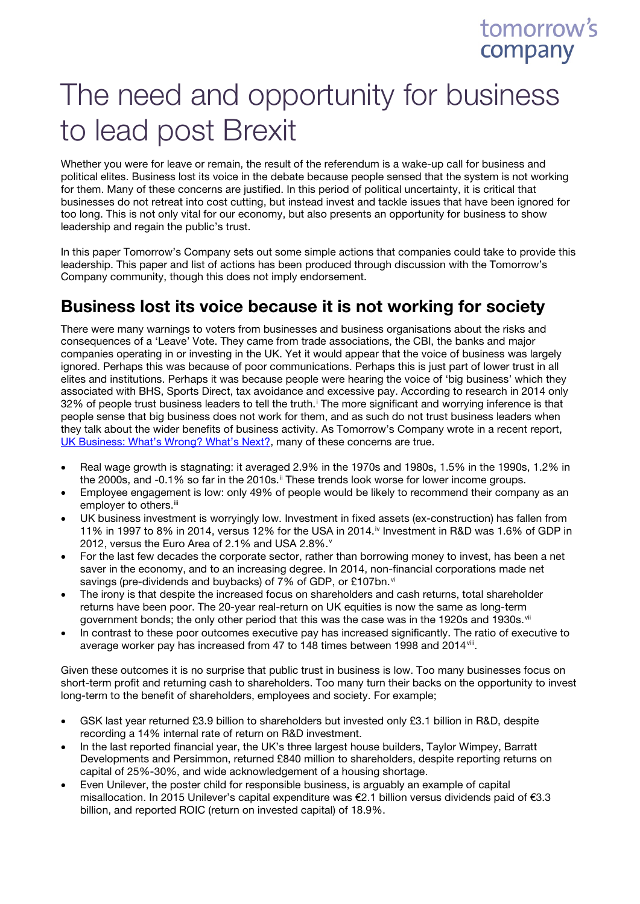## tomorrow's company

# The need and opportunity for business to lead post Brexit

Whether you were for leave or remain, the result of the referendum is a wake-up call for business and political elites. Business lost its voice in the debate because people sensed that the system is not working for them. Many of these concerns are justified. In this period of political uncertainty, it is critical that businesses do not retreat into cost cutting, but instead invest and tackle issues that have been ignored for too long. This is not only vital for our economy, but also presents an opportunity for business to show leadership and regain the public's trust.

In this paper Tomorrow's Company sets out some simple actions that companies could take to provide this leadership. This paper and list of actions has been produced through discussion with the Tomorrow's Company community, though this does not imply endorsement.

### Business lost its voice because it is not working for society

There were many warnings to voters from businesses and business organisations about the risks and consequences of a 'Leave' Vote. They came from trade associations, the CBI, the banks and major companies operating in or investing in the UK. Yet it would appear that the voice of business was largely ignored. Perhaps this was because of poor communications. Perhaps this is just part of lower trust in all elites and institutions. Perhaps it was because people were hearing the voice of 'big business' which they associated with BHS, Sports Direct, tax avoidance and excessive pay. According to research in 2014 only 32% of people trust bus[i](#page-5-0)ness leaders to tell the truth.<sup>i</sup> The more significant and worrying inference is that people sense that big business does not work for them, and as such do not trust business leaders when they talk about the wider benefits of business activity. As Tomorrow's Company wrote in a recent report, [UK Business: What's Wrong? What's Next?,](http://tomorrowscompany.com/publication/uk-business-whats-wrong-whats-next/) many of these concerns are true.

- Real wage growth is stagnating: it averaged 2.9% in the 1970s and 1980s, 1.5% in the 1990s, 1.2% in the 2000s, and -0.1% so far in the 2010s.<sup>[ii](#page-5-1)</sup> These trends look worse for lower income groups.
- Employee engagement is low: only 49% of people would be likely to recommend their company as an employer to others.<sup>[iii](#page-5-2)</sup>
- UK business investment is worryingly low. Investment in fixed assets (ex-construction) has fallen from 11% in 1997 to 8% in 2014, versus 12% for the USA in 2014.<sup>[iv](#page-5-3)</sup> Investment in R&D was 1.6% of GDP in 2012, [v](#page-5-4)ersus the Euro Area of 2.1% and USA 2.8%. $^{\circ}$
- For the last few decades the corporate sector, rather than borrowing money to invest, has been a net saver in the economy, and to an increasing degree. In 2014, non-financial corporations made net sa[vi](#page-5-5)ngs (pre-dividends and buybacks) of 7% of GDP, or £107bn.<sup>vi</sup>
- The irony is that despite the increased focus on shareholders and cash returns, total shareholder returns have been poor. The 20-year real-return on UK equities is now the same as long-term government bonds; the only other period that this was the case was in the 1920s and 1930s. [vii](#page-5-6)
- In contrast to these poor outcomes executive pay has increased significantly. The ratio of executive to average worker pay has increased from 47 to 148 times between 1998 and 2014<sup>vii</sup>.

Given these outcomes it is no surprise that public trust in business is low. Too many businesses focus on short-term profit and returning cash to shareholders. Too many turn their backs on the opportunity to invest long-term to the benefit of shareholders, employees and society. For example;

- GSK last year returned £3.9 billion to shareholders but invested only £3.1 billion in R&D, despite recording a 14% internal rate of return on R&D investment.
- In the last reported financial year, the UK's three largest house builders, Taylor Wimpey, Barratt Developments and Persimmon, returned £840 million to shareholders, despite reporting returns on capital of 25%-30%, and wide acknowledgement of a housing shortage.
- Even Unilever, the poster child for responsible business, is arguably an example of capital misallocation. In 2015 Unilever's capital expenditure was €2.1 billion versus dividends paid of €3.3 billion, and reported ROIC (return on invested capital) of 18.9%.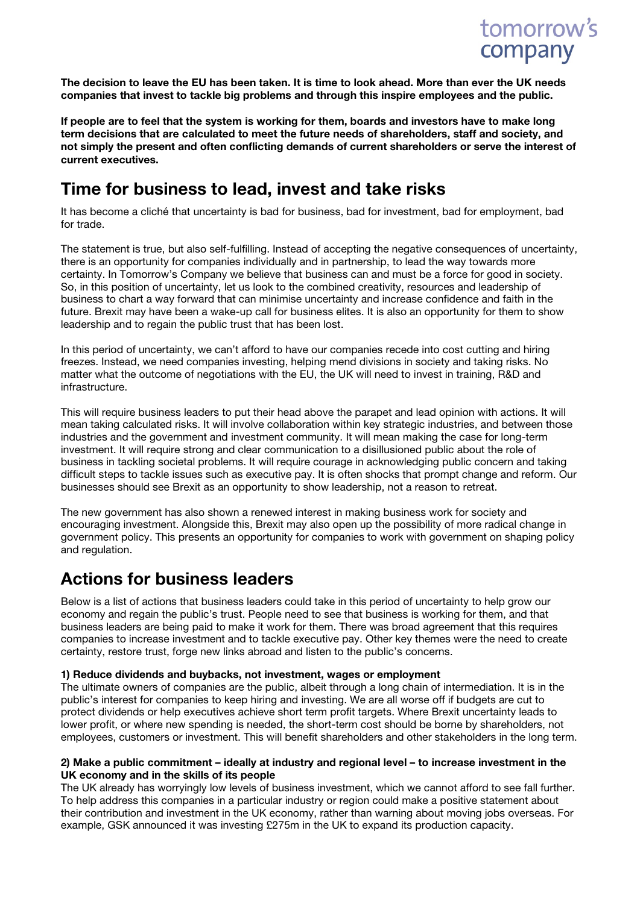

The decision to leave the EU has been taken. It is time to look ahead. More than ever the UK needs companies that invest to tackle big problems and through this inspire employees and the public.

If people are to feel that the system is working for them, boards and investors have to make long term decisions that are calculated to meet the future needs of shareholders, staff and society, and not simply the present and often conflicting demands of current shareholders or serve the interest of current executives.

### Time for business to lead, invest and take risks

It has become a cliché that uncertainty is bad for business, bad for investment, bad for employment, bad for trade.

The statement is true, but also self-fulfilling. Instead of accepting the negative consequences of uncertainty, there is an opportunity for companies individually and in partnership, to lead the way towards more certainty. In Tomorrow's Company we believe that business can and must be a force for good in society. So, in this position of uncertainty, let us look to the combined creativity, resources and leadership of business to chart a way forward that can minimise uncertainty and increase confidence and faith in the future. Brexit may have been a wake-up call for business elites. It is also an opportunity for them to show leadership and to regain the public trust that has been lost.

In this period of uncertainty, we can't afford to have our companies recede into cost cutting and hiring freezes. Instead, we need companies investing, helping mend divisions in society and taking risks. No matter what the outcome of negotiations with the EU, the UK will need to invest in training, R&D and infrastructure.

This will require business leaders to put their head above the parapet and lead opinion with actions. It will mean taking calculated risks. It will involve collaboration within key strategic industries, and between those industries and the government and investment community. It will mean making the case for long-term investment. It will require strong and clear communication to a disillusioned public about the role of business in tackling societal problems. It will require courage in acknowledging public concern and taking difficult steps to tackle issues such as executive pay. It is often shocks that prompt change and reform. Our businesses should see Brexit as an opportunity to show leadership, not a reason to retreat.

The new government has also shown a renewed interest in making business work for society and encouraging investment. Alongside this, Brexit may also open up the possibility of more radical change in government policy. This presents an opportunity for companies to work with government on shaping policy and regulation.

### Actions for business leaders

Below is a list of actions that business leaders could take in this period of uncertainty to help grow our economy and regain the public's trust. People need to see that business is working for them, and that business leaders are being paid to make it work for them. There was broad agreement that this requires companies to increase investment and to tackle executive pay. Other key themes were the need to create certainty, restore trust, forge new links abroad and listen to the public's concerns.

#### 1) Reduce dividends and buybacks, not investment, wages or employment

The ultimate owners of companies are the public, albeit through a long chain of intermediation. It is in the public's interest for companies to keep hiring and investing. We are all worse off if budgets are cut to protect dividends or help executives achieve short term profit targets. Where Brexit uncertainty leads to lower profit, or where new spending is needed, the short-term cost should be borne by shareholders, not employees, customers or investment. This will benefit shareholders and other stakeholders in the long term.

#### 2) Make a public commitment – ideally at industry and regional level – to increase investment in the UK economy and in the skills of its people

The UK already has worryingly low levels of business investment, which we cannot afford to see fall further. To help address this companies in a particular industry or region could make a positive statement about their contribution and investment in the UK economy, rather than warning about moving jobs overseas. For example, GSK announced it was investing £275m in the UK to expand its production capacity.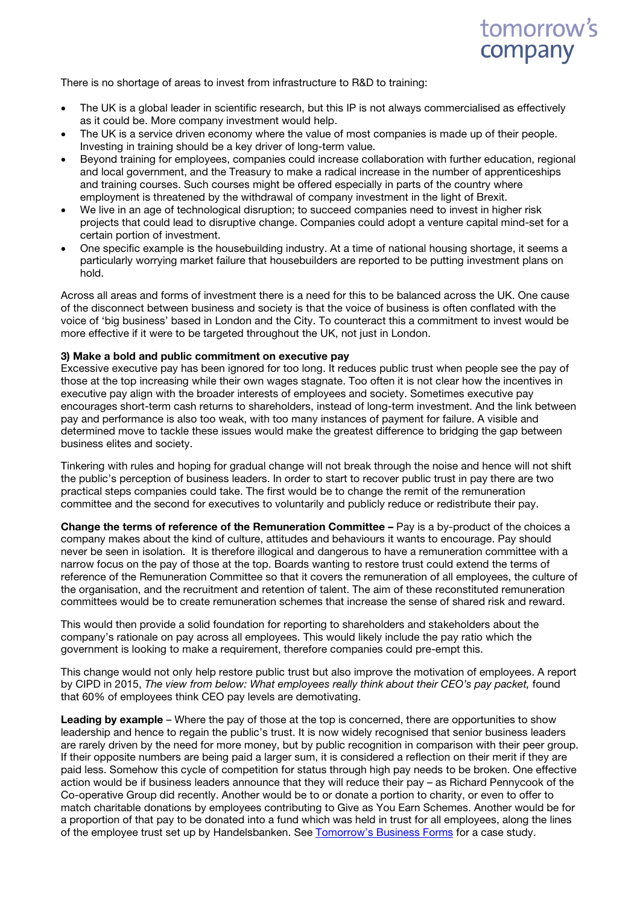

There is no shortage of areas to invest from infrastructure to R&D to training:

- The UK is a global leader in scientific research, but this IP is not always commercialised as effectively as it could be. More company investment would help.
- The UK is a service driven economy where the value of most companies is made up of their people. Investing in training should be a key driver of long-term value.
- Beyond training for employees, companies could increase collaboration with further education, regional and local government, and the Treasury to make a radical increase in the number of apprenticeships and training courses. Such courses might be offered especially in parts of the country where employment is threatened by the withdrawal of company investment in the light of Brexit.
- We live in an age of technological disruption; to succeed companies need to invest in higher risk projects that could lead to disruptive change. Companies could adopt a venture capital mind-set for a certain portion of investment.
- One specific example is the housebuilding industry. At a time of national housing shortage, it seems a particularly worrying market failure that housebuilders are reported to be putting investment plans on hold.

Across all areas and forms of investment there is a need for this to be balanced across the UK. One cause of the disconnect between business and society is that the voice of business is often conflated with the voice of 'big business' based in London and the City. To counteract this a commitment to invest would be more effective if it were to be targeted throughout the UK, not just in London.

#### 3) Make a bold and public commitment on executive pay

Excessive executive pay has been ignored for too long. It reduces public trust when people see the pay of those at the top increasing while their own wages stagnate. Too often it is not clear how the incentives in executive pay align with the broader interests of employees and society. Sometimes executive pay encourages short-term cash returns to shareholders, instead of long-term investment. And the link between pay and performance is also too weak, with too many instances of payment for failure. A visible and determined move to tackle these issues would make the greatest difference to bridging the gap between business elites and society.

Tinkering with rules and hoping for gradual change will not break through the noise and hence will not shift the public's perception of business leaders. In order to start to recover public trust in pay there are two practical steps companies could take. The first would be to change the remit of the remuneration committee and the second for executives to voluntarily and publicly reduce or redistribute their pay.

Change the terms of reference of the Remuneration Committee – Pay is a by-product of the choices a company makes about the kind of culture, attitudes and behaviours it wants to encourage. Pay should never be seen in isolation. It is therefore illogical and dangerous to have a remuneration committee with a narrow focus on the pay of those at the top. Boards wanting to restore trust could extend the terms of reference of the Remuneration Committee so that it covers the remuneration of all employees, the culture of the organisation, and the recruitment and retention of talent. The aim of these reconstituted remuneration committees would be to create remuneration schemes that increase the sense of shared risk and reward.

This would then provide a solid foundation for reporting to shareholders and stakeholders about the company's rationale on pay across all employees. This would likely include the pay ratio which the government is looking to make a requirement, therefore companies could pre-empt this.

This change would not only help restore public trust but also improve the motivation of employees. A report by CIPD in 2015, *The view from below: What employees really think about their CEO's pay packet,* found that 60% of employees think CEO pay levels are demotivating.

**Leading by example** – Where the pay of those at the top is concerned, there are opportunities to show leadership and hence to regain the public's trust. It is now widely recognised that senior business leaders are rarely driven by the need for more money, but by public recognition in comparison with their peer group. If their opposite numbers are being paid a larger sum, it is considered a reflection on their merit if they are paid less. Somehow this cycle of competition for status through high pay needs to be broken. One effective action would be if business leaders announce that they will reduce their pay – as Richard Pennycook of the Co-operative Group did recently. Another would be to or donate a portion to charity, or even to offer to match charitable donations by employees contributing to Give as You Earn Schemes. Another would be for a proportion of that pay to be donated into a fund which was held in trust for all employees, along the lines of the employee trust set up by Handelsbanken. See [Tomorrow's Business Forms](http://tomorrowscompany.com/publication/tomorrows-business-forms-making-the-right-choices-of-ownership-structure-and-governance-to-deliver-success-for-business-and-society/) for a case study.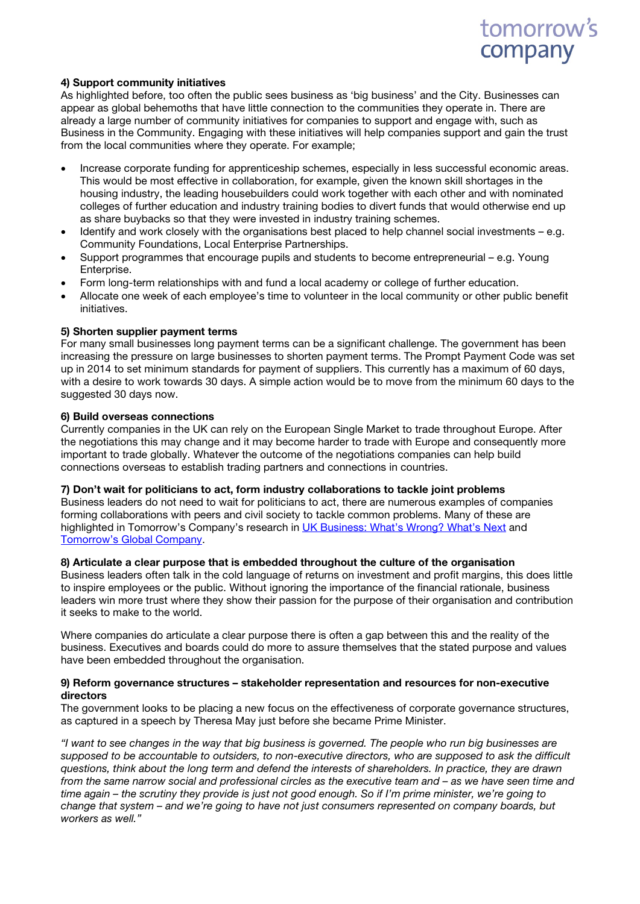## tomorrow's company

#### 4) Support community initiatives

As highlighted before, too often the public sees business as 'big business' and the City. Businesses can appear as global behemoths that have little connection to the communities they operate in. There are already a large number of community initiatives for companies to support and engage with, such as Business in the Community. Engaging with these initiatives will help companies support and gain the trust from the local communities where they operate. For example;

- Increase corporate funding for apprenticeship schemes, especially in less successful economic areas. This would be most effective in collaboration, for example, given the known skill shortages in the housing industry, the leading housebuilders could work together with each other and with nominated colleges of further education and industry training bodies to divert funds that would otherwise end up as share buybacks so that they were invested in industry training schemes.
- Identify and work closely with the organisations best placed to help channel social investments e.g. Community Foundations, Local Enterprise Partnerships.
- Support programmes that encourage pupils and students to become entrepreneurial e.g. Young Enterprise.
- Form long-term relationships with and fund a local academy or college of further education.
- Allocate one week of each employee's time to volunteer in the local community or other public benefit initiatives.

#### 5) Shorten supplier payment terms

For many small businesses long payment terms can be a significant challenge. The government has been increasing the pressure on large businesses to shorten payment terms. The Prompt Payment Code was set up in 2014 to set minimum standards for payment of suppliers. This currently has a maximum of 60 days, with a desire to work towards 30 days. A simple action would be to move from the minimum 60 days to the suggested 30 days now.

#### 6) Build overseas connections

Currently companies in the UK can rely on the European Single Market to trade throughout Europe. After the negotiations this may change and it may become harder to trade with Europe and consequently more important to trade globally. Whatever the outcome of the negotiations companies can help build connections overseas to establish trading partners and connections in countries.

#### 7) Don't wait for politicians to act, form industry collaborations to tackle joint problems

Business leaders do not need to wait for politicians to act, there are numerous examples of companies forming collaborations with peers and civil society to tackle common problems. Many of these are highlighted in Tomorrow's Company's research in [UK Business: What's Wrong? What's Next](http://tomorrowscompany.com/publication/uk-business-whats-wrong-whats-next/) and [Tomorrow's Global Company.](http://tomorrowscompany.com/publication/tomorrows-global-company-challenges-and-choices/)

#### 8) Articulate a clear purpose that is embedded throughout the culture of the organisation

Business leaders often talk in the cold language of returns on investment and profit margins, this does little to inspire employees or the public. Without ignoring the importance of the financial rationale, business leaders win more trust where they show their passion for the purpose of their organisation and contribution it seeks to make to the world.

Where companies do articulate a clear purpose there is often a gap between this and the reality of the business. Executives and boards could do more to assure themselves that the stated purpose and values have been embedded throughout the organisation.

#### 9) Reform governance structures – stakeholder representation and resources for non-executive directors

The government looks to be placing a new focus on the effectiveness of corporate governance structures, as captured in a speech by Theresa May just before she became Prime Minister.

*"I want to see changes in the way that big business is governed. The people who run big businesses are supposed to be accountable to outsiders, to non-executive directors, who are supposed to ask the difficult questions, think about the long term and defend the interests of shareholders. In practice, they are drawn from the same narrow social and professional circles as the executive team and – as we have seen time and time again – the scrutiny they provide is just not good enough. So if I'm prime minister, we're going to change that system – and we're going to have not just consumers represented on company boards, but workers as well."*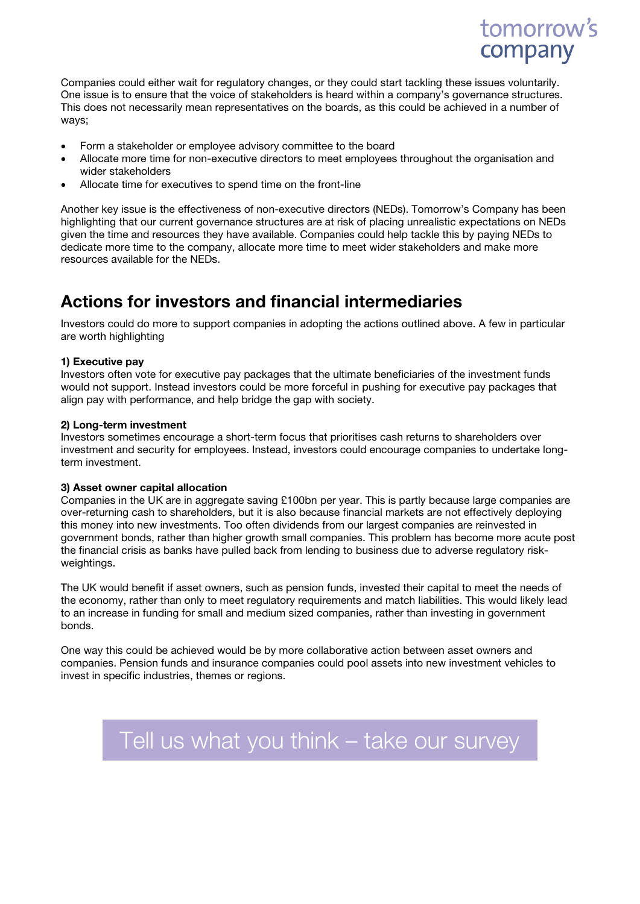

Companies could either wait for regulatory changes, or they could start tackling these issues voluntarily. One issue is to ensure that the voice of stakeholders is heard within a company's governance structures. This does not necessarily mean representatives on the boards, as this could be achieved in a number of ways;

- Form a stakeholder or employee advisory committee to the board
- Allocate more time for non-executive directors to meet employees throughout the organisation and wider stakeholders
- Allocate time for executives to spend time on the front-line

Another key issue is the effectiveness of non-executive directors (NEDs). Tomorrow's Company has been highlighting that our current governance structures are at risk of placing unrealistic expectations on NEDs given the time and resources they have available. Companies could help tackle this by paying NEDs to dedicate more time to the company, allocate more time to meet wider stakeholders and make more resources available for the NEDs.

### Actions for investors and financial intermediaries

Investors could do more to support companies in adopting the actions outlined above. A few in particular are worth highlighting

#### 1) Executive pay

Investors often vote for executive pay packages that the ultimate beneficiaries of the investment funds would not support. Instead investors could be more forceful in pushing for executive pay packages that align pay with performance, and help bridge the gap with society.

#### 2) Long-term investment

Investors sometimes encourage a short-term focus that prioritises cash returns to shareholders over investment and security for employees. Instead, investors could encourage companies to undertake longterm investment.

#### 3) Asset owner capital allocation

Companies in the UK are in aggregate saving £100bn per year. This is partly because large companies are over-returning cash to shareholders, but it is also because financial markets are not effectively deploying this money into new investments. Too often dividends from our largest companies are reinvested in government bonds, rather than higher growth small companies. This problem has become more acute post the financial crisis as banks have pulled back from lending to business due to adverse regulatory riskweightings.

The UK would benefit if asset owners, such as pension funds, invested their capital to meet the needs of the economy, rather than only to meet regulatory requirements and match liabilities. This would likely lead to an increase in funding for small and medium sized companies, rather than investing in government bonds.

One way this could be achieved would be by more collaborative action between asset owners and companies. Pension funds and insurance companies could pool assets into new investment vehicles to invest in specific industries, themes or regions.

## [Tell us what you think –](https://survey.zohopublic.com/zs/GryfZB) take our survey